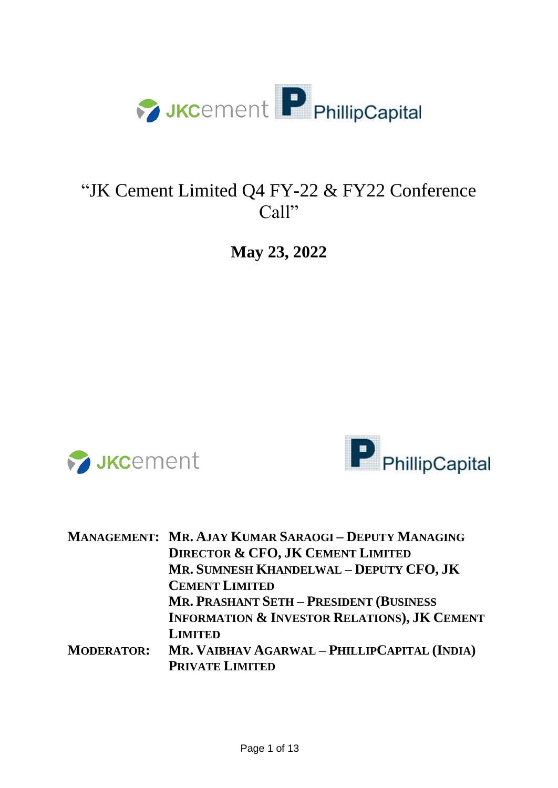

## "JK Cement Limited Q4 FY-22 & FY22 Conference Call"

**May 23, 2022**





|                   | <b>MANAGEMENT: MR. AJAY KUMAR SARAOGI-DEPUTY MANAGING</b> |
|-------------------|-----------------------------------------------------------|
|                   | <b>DIRECTOR &amp; CFO, JK CEMENT LIMITED</b>              |
|                   | MR. SUMNESH KHANDELWAL - DEPUTY CFO, JK                   |
|                   | <b>CEMENT LIMITED</b>                                     |
|                   | <b>MR. PRASHANT SETH - PRESIDENT (BUSINESS)</b>           |
|                   | <b>INFORMATION &amp; INVESTOR RELATIONS), JK CEMENT</b>   |
|                   | <b>LIMITED</b>                                            |
| <b>MODERATOR:</b> | MR. VAIBHAV AGARWAL - PHILLIPCAPITAL (INDIA)              |
|                   | <b>PRIVATE LIMITED</b>                                    |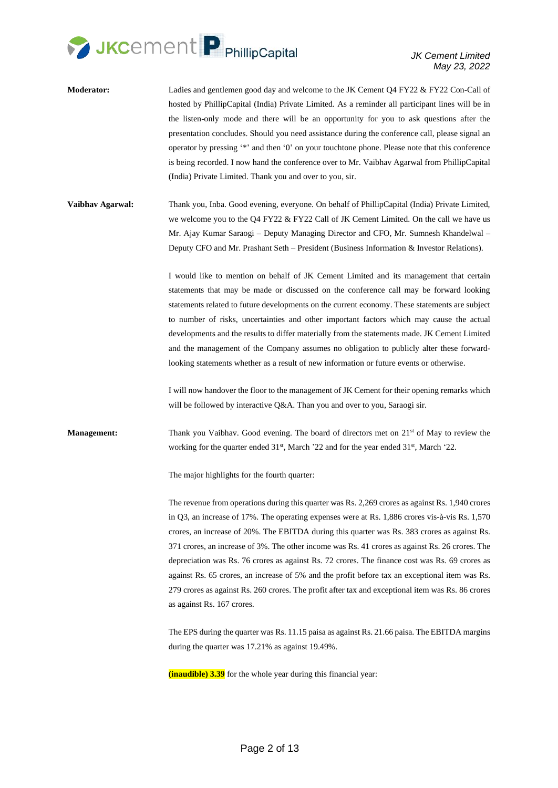

- **Moderator:** Ladies and gentlemen good day and welcome to the JK Cement Q4 FY22 & FY22 Con-Call of hosted by PhillipCapital (India) Private Limited. As a reminder all participant lines will be in the listen-only mode and there will be an opportunity for you to ask questions after the presentation concludes. Should you need assistance during the conference call, please signal an operator by pressing '\*' and then '0' on your touchtone phone. Please note that this conference is being recorded. I now hand the conference over to Mr. Vaibhav Agarwal from PhillipCapital (India) Private Limited. Thank you and over to you, sir.
- **Vaibhav Agarwal:** Thank you, Inba. Good evening, everyone. On behalf of PhillipCapital (India) Private Limited, we welcome you to the Q4 FY22 & FY22 Call of JK Cement Limited. On the call we have us Mr. Ajay Kumar Saraogi – Deputy Managing Director and CFO, Mr. Sumnesh Khandelwal – Deputy CFO and Mr. Prashant Seth – President (Business Information & Investor Relations).

I would like to mention on behalf of JK Cement Limited and its management that certain statements that may be made or discussed on the conference call may be forward looking statements related to future developments on the current economy. These statements are subject to number of risks, uncertainties and other important factors which may cause the actual developments and the results to differ materially from the statements made. JK Cement Limited and the management of the Company assumes no obligation to publicly alter these forwardlooking statements whether as a result of new information or future events or otherwise.

I will now handover the floor to the management of JK Cement for their opening remarks which will be followed by interactive Q&A. Than you and over to you, Saraogi sir.

**Management:** Thank you Vaibhav. Good evening. The board of directors met on 21<sup>st</sup> of May to review the working for the quarter ended 31<sup>st</sup>, March '22 and for the year ended 31<sup>st</sup>, March '22.

The major highlights for the fourth quarter:

The revenue from operations during this quarter was Rs. 2,269 crores as against Rs. 1,940 crores in Q3, an increase of 17%. The operating expenses were at Rs. 1,886 crores vis-à-vis Rs. 1,570 crores, an increase of 20%. The EBITDA during this quarter was Rs. 383 crores as against Rs. 371 crores, an increase of 3%. The other income was Rs. 41 crores as against Rs. 26 crores. The depreciation was Rs. 76 crores as against Rs. 72 crores. The finance cost was Rs. 69 crores as against Rs. 65 crores, an increase of 5% and the profit before tax an exceptional item was Rs. 279 crores as against Rs. 260 crores. The profit after tax and exceptional item was Rs. 86 crores as against Rs. 167 crores.

The EPS during the quarter was Rs. 11.15 paisa as against Rs. 21.66 paisa. The EBITDA margins during the quarter was 17.21% as against 19.49%.

**(inaudible) 3.39** for the whole year during this financial year: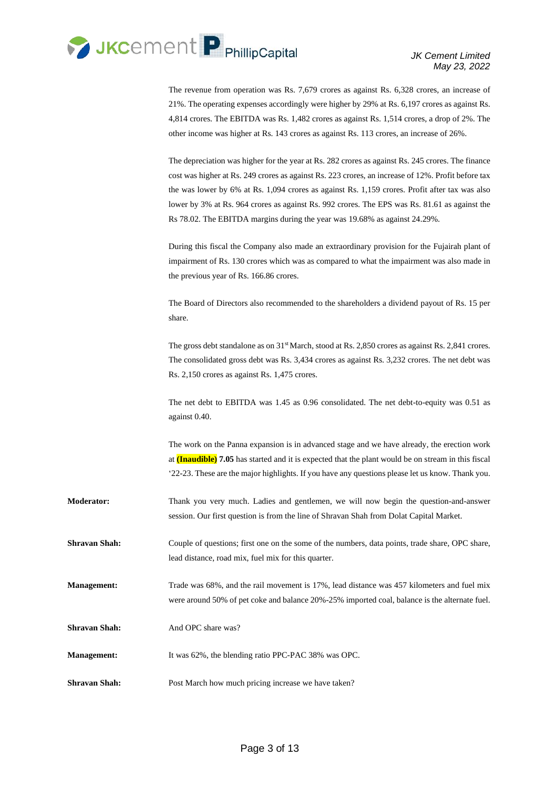

The revenue from operation was Rs. 7,679 crores as against Rs. 6,328 crores, an increase of 21%. The operating expenses accordingly were higher by 29% at Rs. 6,197 crores as against Rs. 4,814 crores. The EBITDA was Rs. 1,482 crores as against Rs. 1,514 crores, a drop of 2%. The other income was higher at Rs. 143 crores as against Rs. 113 crores, an increase of 26%.

The depreciation was higher for the year at Rs. 282 crores as against Rs. 245 crores. The finance cost was higher at Rs. 249 crores as against Rs. 223 crores, an increase of 12%. Profit before tax the was lower by 6% at Rs. 1,094 crores as against Rs. 1,159 crores. Profit after tax was also lower by 3% at Rs. 964 crores as against Rs. 992 crores. The EPS was Rs. 81.61 as against the Rs 78.02. The EBITDA margins during the year was 19.68% as against 24.29%.

During this fiscal the Company also made an extraordinary provision for the Fujairah plant of impairment of Rs. 130 crores which was as compared to what the impairment was also made in the previous year of Rs. 166.86 crores.

The Board of Directors also recommended to the shareholders a dividend payout of Rs. 15 per share.

The gross debt standalone as on  $31<sup>st</sup>$  March, stood at Rs. 2,850 crores as against Rs. 2,841 crores. The consolidated gross debt was Rs. 3,434 crores as against Rs. 3,232 crores. The net debt was Rs. 2,150 crores as against Rs. 1,475 crores.

The net debt to EBITDA was 1.45 as 0.96 consolidated. The net debt-to-equity was 0.51 as against 0.40.

The work on the Panna expansion is in advanced stage and we have already, the erection work at **(Inaudible) 7.05** has started and it is expected that the plant would be on stream in this fiscal '22-23. These are the major highlights. If you have any questions please let us know. Thank you.

**Moderator:** Thank you very much. Ladies and gentlemen, we will now begin the question-and-answer session. Our first question is from the line of Shravan Shah from Dolat Capital Market.

**Shravan Shah:** Couple of questions; first one on the some of the numbers, data points, trade share, OPC share, lead distance, road mix, fuel mix for this quarter.

**Management:** Trade was 68%, and the rail movement is 17%, lead distance was 457 kilometers and fuel mix were around 50% of pet coke and balance 20%-25% imported coal, balance is the alternate fuel.

**Shravan Shah:** And OPC share was?

**Management:** It was 62%, the blending ratio PPC-PAC 38% was OPC.

**Shravan Shah:** Post March how much pricing increase we have taken?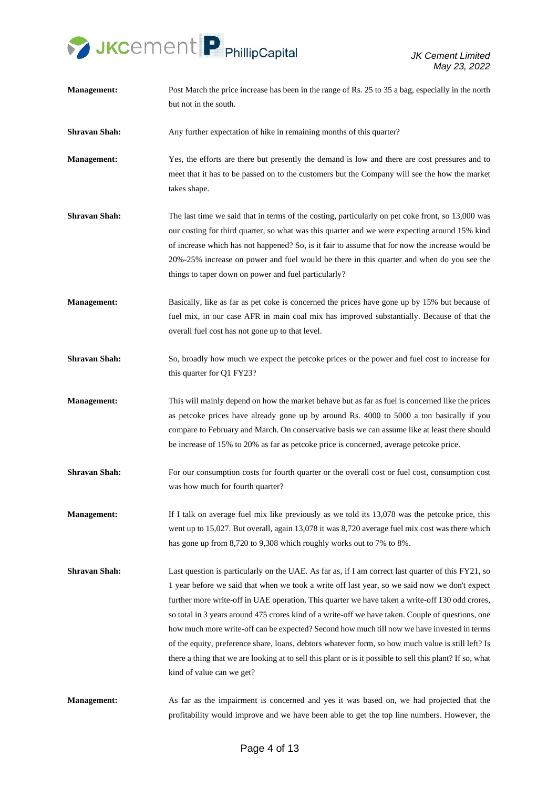

**Management:** Post March the price increase has been in the range of Rs. 25 to 35 a bag, especially in the north but not in the south. **Shravan Shah:** Any further expectation of hike in remaining months of this quarter? **Management:** Yes, the efforts are there but presently the demand is low and there are cost pressures and to meet that it has to be passed on to the customers but the Company will see the how the market takes shape. **Shravan Shah:** The last time we said that in terms of the costing, particularly on pet coke front, so 13,000 was our costing for third quarter, so what was this quarter and we were expecting around 15% kind of increase which has not happened? So, is it fair to assume that for now the increase would be 20%-25% increase on power and fuel would be there in this quarter and when do you see the things to taper down on power and fuel particularly? **Management:** Basically, like as far as pet coke is concerned the prices have gone up by 15% but because of fuel mix, in our case AFR in main coal mix has improved substantially. Because of that the overall fuel cost has not gone up to that level. **Shravan Shah:** So, broadly how much we expect the petcoke prices or the power and fuel cost to increase for this quarter for Q1 FY23? **Management:** This will mainly depend on how the market behave but as far as fuel is concerned like the prices as petcoke prices have already gone up by around Rs. 4000 to 5000 a ton basically if you compare to February and March. On conservative basis we can assume like at least there should be increase of 15% to 20% as far as petcoke price is concerned, average petcoke price. **Shravan Shah:** For our consumption costs for fourth quarter or the overall cost or fuel cost, consumption cost was how much for fourth quarter? **Management:** If I talk on average fuel mix like previously as we told its 13,078 was the petcoke price, this went up to 15,027. But overall, again 13,078 it was 8,720 average fuel mix cost was there which has gone up from 8,720 to 9,308 which roughly works out to 7% to 8%. **Shravan Shah:** Last question is particularly on the UAE. As far as, if I am correct last quarter of this FY21, so 1 year before we said that when we took a write off last year, so we said now we don't expect further more write-off in UAE operation. This quarter we have taken a write-off 130 odd crores, so total in 3 years around 475 crores kind of a write-off we have taken. Couple of questions, one how much more write-off can be expected? Second how much till now we have invested in terms of the equity, preference share, loans, debtors whatever form, so how much value is still left? Is there a thing that we are looking at to sell this plant or is it possible to sell this plant? If so, what kind of value can we get? **Management:** As far as the impairment is concerned and yes it was based on, we had projected that the profitability would improve and we have been able to get the top line numbers. However, the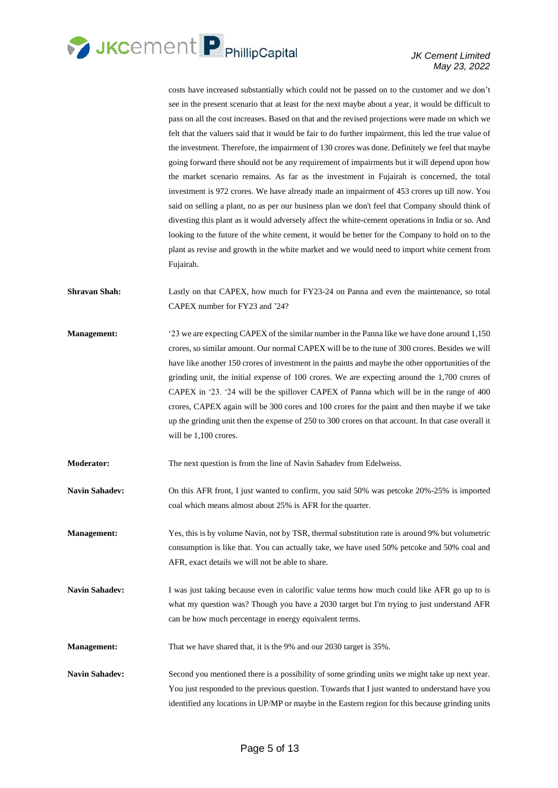

costs have increased substantially which could not be passed on to the customer and we don't see in the present scenario that at least for the next maybe about a year, it would be difficult to pass on all the cost increases. Based on that and the revised projections were made on which we felt that the valuers said that it would be fair to do further impairment, this led the true value of the investment. Therefore, the impairment of 130 crores was done. Definitely we feel that maybe going forward there should not be any requirement of impairments but it will depend upon how the market scenario remains. As far as the investment in Fujairah is concerned, the total investment is 972 crores. We have already made an impairment of 453 crores up till now. You said on selling a plant, no as per our business plan we don't feel that Company should think of divesting this plant as it would adversely affect the white-cement operations in India or so. And looking to the future of the white cement, it would be better for the Company to hold on to the plant as revise and growth in the white market and we would need to import white cement from Fujairah.

**Shravan Shah:** Lastly on that CAPEX, how much for FY23-24 on Panna and even the maintenance, so total CAPEX number for FY23 and '24?

**Management:** '23 we are expecting CAPEX of the similar number in the Panna like we have done around 1,150 crores, so similar amount. Our normal CAPEX will be to the tune of 300 crores. Besides we will have like another 150 crores of investment in the paints and maybe the other opportunities of the grinding unit, the initial expense of 100 crores. We are expecting around the 1,700 crores of CAPEX in '23. '24 will be the spillover CAPEX of Panna which will be in the range of 400 crores, CAPEX again will be 300 cores and 100 crores for the paint and then maybe if we take up the grinding unit then the expense of 250 to 300 crores on that account. In that case overall it will be 1,100 crores.

**Moderator:** The next question is from the line of Navin Sahadev from Edelweiss.

Navin Sahadev: On this AFR front, I just wanted to confirm, you said 50% was petcoke 20%-25% is imported coal which means almost about 25% is AFR for the quarter.

**Management:** Yes, this is by volume Navin, not by TSR, thermal substitution rate is around 9% but volumetric consumption is like that. You can actually take, we have used 50% petcoke and 50% coal and AFR, exact details we will not be able to share.

Navin Sahadev: I was just taking because even in calorific value terms how much could like AFR go up to is what my question was? Though you have a 2030 target but I'm trying to just understand AFR can be how much percentage in energy equivalent terms.

**Management:** That we have shared that, it is the 9% and our 2030 target is 35%.

**Navin Sahadev:** Second you mentioned there is a possibility of some grinding units we might take up next year. You just responded to the previous question. Towards that I just wanted to understand have you identified any locations in UP/MP or maybe in the Eastern region for this because grinding units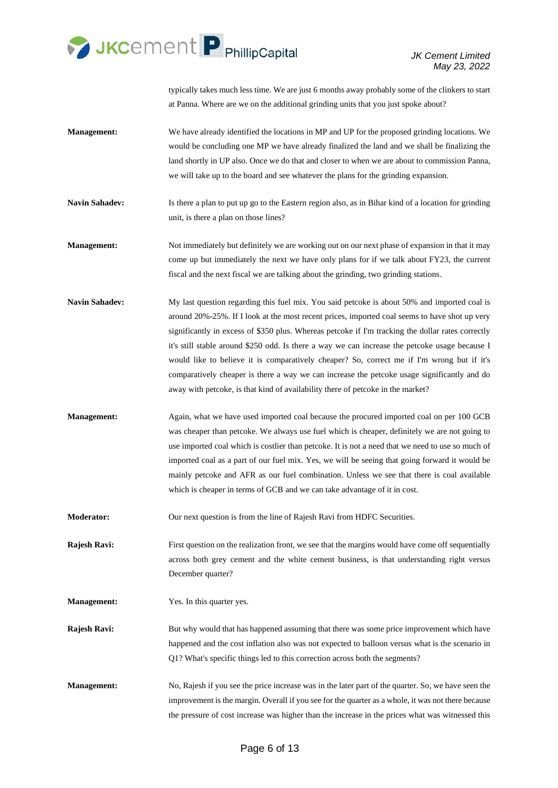

typically takes much less time. We are just 6 months away probably some of the clinkers to start at Panna. Where are we on the additional grinding units that you just spoke about?

- **Management:** We have already identified the locations in MP and UP for the proposed grinding locations. We would be concluding one MP we have already finalized the land and we shall be finalizing the land shortly in UP also. Once we do that and closer to when we are about to commission Panna, we will take up to the board and see whatever the plans for the grinding expansion.
- **Navin Sahadev:** Is there a plan to put up go to the Eastern region also, as in Bihar kind of a location for grinding unit, is there a plan on those lines?
- **Management:** Not immediately but definitely we are working out on our next phase of expansion in that it may come up but immediately the next we have only plans for if we talk about FY23, the current fiscal and the next fiscal we are talking about the grinding, two grinding stations.
- **Navin Sahadev:** My last question regarding this fuel mix. You said petcoke is about 50% and imported coal is around 20%-25%. If I look at the most recent prices, imported coal seems to have shot up very significantly in excess of \$350 plus. Whereas petcoke if I'm tracking the dollar rates correctly it's still stable around \$250 odd. Is there a way we can increase the petcoke usage because I would like to believe it is comparatively cheaper? So, correct me if I'm wrong but if it's comparatively cheaper is there a way we can increase the petcoke usage significantly and do away with petcoke, is that kind of availability there of petcoke in the market?
- **Management:** Again, what we have used imported coal because the procured imported coal on per 100 GCB was cheaper than petcoke. We always use fuel which is cheaper, definitely we are not going to use imported coal which is costlier than petcoke. It is not a need that we need to use so much of imported coal as a part of our fuel mix. Yes, we will be seeing that going forward it would be mainly petcoke and AFR as our fuel combination. Unless we see that there is coal available which is cheaper in terms of GCB and we can take advantage of it in cost.

**Moderator:** Our next question is from the line of Rajesh Ravi from HDFC Securities.

**Rajesh Ravi:** First question on the realization front, we see that the margins would have come off sequentially across both grey cement and the white cement business, is that understanding right versus December quarter?

- **Management:** Yes. In this quarter yes.
- **Rajesh Ravi:** But why would that has happened assuming that there was some price improvement which have happened and the cost inflation also was not expected to balloon versus what is the scenario in Q1? What's specific things led to this correction across both the segments?
- **Management:** No, Rajesh if you see the price increase was in the later part of the quarter. So, we have seen the improvement is the margin. Overall if you see for the quarter as a whole, it was not there because the pressure of cost increase was higher than the increase in the prices what was witnessed this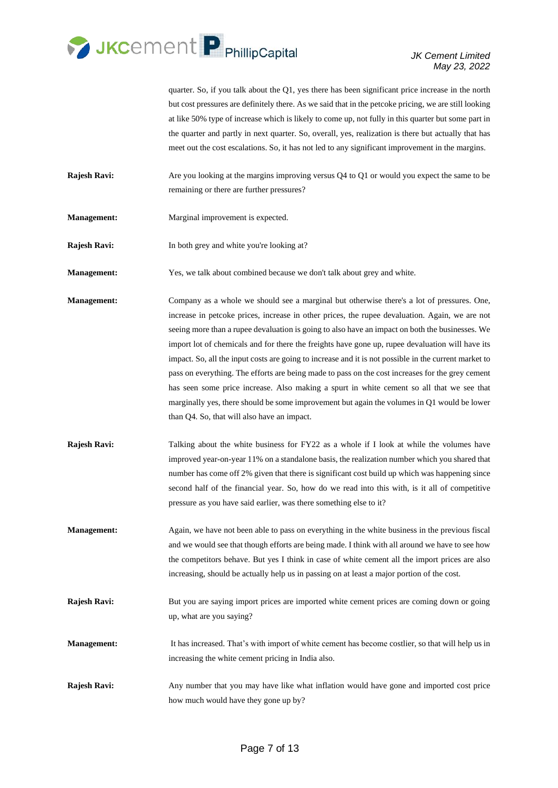

quarter. So, if you talk about the Q1, yes there has been significant price increase in the north but cost pressures are definitely there. As we said that in the petcoke pricing, we are still looking at like 50% type of increase which is likely to come up, not fully in this quarter but some part in the quarter and partly in next quarter. So, overall, yes, realization is there but actually that has meet out the cost escalations. So, it has not led to any significant improvement in the margins.

- **Rajesh Ravi:** Are you looking at the margins improving versus Q4 to Q1 or would you expect the same to be remaining or there are further pressures?
- **Management:** Marginal improvement is expected.
- **Rajesh Ravi:** In both grey and white you're looking at?
- **Management:** Yes, we talk about combined because we don't talk about grey and white.
- **Management:** Company as a whole we should see a marginal but otherwise there's a lot of pressures. One, increase in petcoke prices, increase in other prices, the rupee devaluation. Again, we are not seeing more than a rupee devaluation is going to also have an impact on both the businesses. We import lot of chemicals and for there the freights have gone up, rupee devaluation will have its impact. So, all the input costs are going to increase and it is not possible in the current market to pass on everything. The efforts are being made to pass on the cost increases for the grey cement has seen some price increase. Also making a spurt in white cement so all that we see that marginally yes, there should be some improvement but again the volumes in Q1 would be lower than Q4. So, that will also have an impact.
- **Rajesh Ravi:** Talking about the white business for FY22 as a whole if I look at while the volumes have improved year-on-year 11% on a standalone basis, the realization number which you shared that number has come off 2% given that there is significant cost build up which was happening since second half of the financial year. So, how do we read into this with, is it all of competitive pressure as you have said earlier, was there something else to it?
- **Management:** Again, we have not been able to pass on everything in the white business in the previous fiscal and we would see that though efforts are being made. I think with all around we have to see how the competitors behave. But yes I think in case of white cement all the import prices are also increasing, should be actually help us in passing on at least a major portion of the cost.
- **Rajesh Ravi:** But you are saying import prices are imported white cement prices are coming down or going up, what are you saying?
- **Management:** It has increased. That's with import of white cement has become costlier, so that will help us in increasing the white cement pricing in India also.
- **Rajesh Ravi:** Any number that you may have like what inflation would have gone and imported cost price how much would have they gone up by?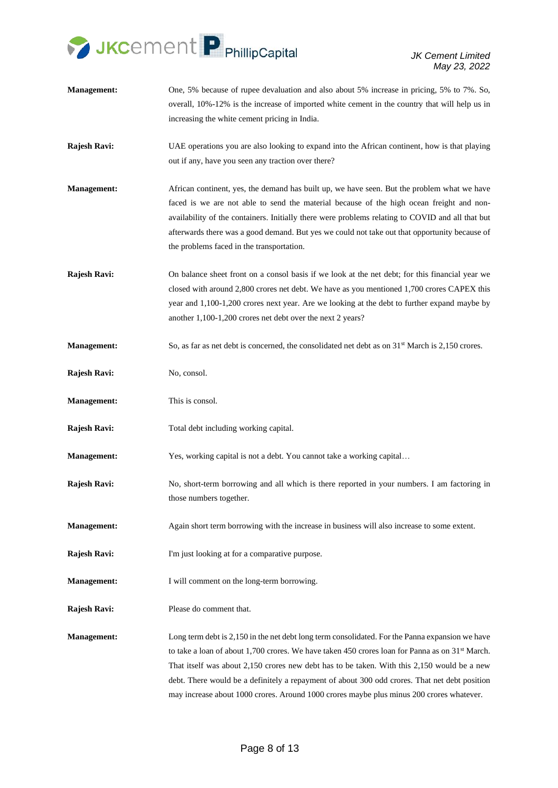

- **Management:** One, 5% because of rupee devaluation and also about 5% increase in pricing, 5% to 7%. So, overall, 10%-12% is the increase of imported white cement in the country that will help us in increasing the white cement pricing in India.
- **Rajesh Ravi:** UAE operations you are also looking to expand into the African continent, how is that playing out if any, have you seen any traction over there?
- **Management:** African continent, yes, the demand has built up, we have seen. But the problem what we have faced is we are not able to send the material because of the high ocean freight and nonavailability of the containers. Initially there were problems relating to COVID and all that but afterwards there was a good demand. But yes we could not take out that opportunity because of the problems faced in the transportation.
- **Rajesh Ravi:** On balance sheet front on a consol basis if we look at the net debt; for this financial year we closed with around 2,800 crores net debt. We have as you mentioned 1,700 crores CAPEX this year and 1,100-1,200 crores next year. Are we looking at the debt to further expand maybe by another 1,100-1,200 crores net debt over the next 2 years?
- **Management:** So, as far as net debt is concerned, the consolidated net debt as on 31<sup>st</sup> March is 2,150 crores.
- **Rajesh Ravi:** No, consol.
- **Management:** This is consol.
- **Rajesh Ravi:** Total debt including working capital.

**Management:** Yes, working capital is not a debt. You cannot take a working capital...

- **Rajesh Ravi:** No, short-term borrowing and all which is there reported in your numbers. I am factoring in those numbers together.
- **Management:** Again short term borrowing with the increase in business will also increase to some extent.
- **Rajesh Ravi:** I'm just looking at for a comparative purpose.
- **Management:** I will comment on the long-term borrowing.
- **Rajesh Ravi:** Please do comment that.

**Management:** Long term debt is 2,150 in the net debt long term consolidated. For the Panna expansion we have to take a loan of about 1,700 crores. We have taken 450 crores loan for Panna as on 31<sup>st</sup> March. That itself was about 2,150 crores new debt has to be taken. With this 2,150 would be a new debt. There would be a definitely a repayment of about 300 odd crores. That net debt position may increase about 1000 crores. Around 1000 crores maybe plus minus 200 crores whatever.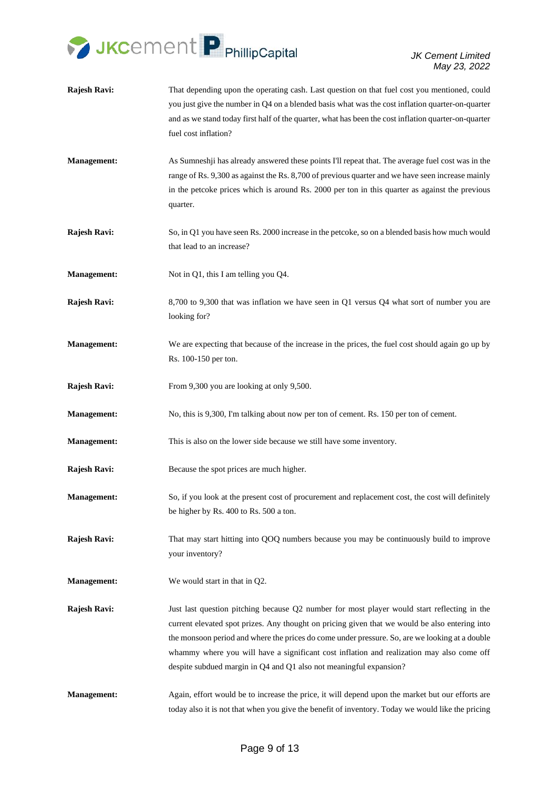

- **Rajesh Ravi:** That depending upon the operating cash. Last question on that fuel cost you mentioned, could you just give the number in Q4 on a blended basis what was the cost inflation quarter-on-quarter and as we stand today first half of the quarter, what has been the cost inflation quarter-on-quarter fuel cost inflation?
- **Management:** As Sumneshji has already answered these points I'll repeat that. The average fuel cost was in the range of Rs. 9,300 as against the Rs. 8,700 of previous quarter and we have seen increase mainly in the petcoke prices which is around Rs. 2000 per ton in this quarter as against the previous quarter.
- **Rajesh Ravi:** So, in Q1 you have seen Rs. 2000 increase in the petcoke, so on a blended basis how much would that lead to an increase?
- **Management:** Not in Q1, this I am telling you Q4.
- **Rajesh Ravi:** 8,700 to 9,300 that was inflation we have seen in Q1 versus Q4 what sort of number you are looking for?
- **Management:** We are expecting that because of the increase in the prices, the fuel cost should again go up by Rs. 100-150 per ton.
- **Rajesh Ravi:** From 9,300 you are looking at only 9,500.
- **Management:** No, this is 9,300, I'm talking about now per ton of cement. Rs. 150 per ton of cement.
- **Management:** This is also on the lower side because we still have some inventory.
- **Rajesh Ravi:** Because the spot prices are much higher.
- **Management:** So, if you look at the present cost of procurement and replacement cost, the cost will definitely be higher by Rs. 400 to Rs. 500 a ton.
- **Rajesh Ravi:** That may start hitting into QOQ numbers because you may be continuously build to improve your inventory?
- **Management:** We would start in that in O2.
- **Rajesh Ravi:** Just last question pitching because Q2 number for most player would start reflecting in the current elevated spot prizes. Any thought on pricing given that we would be also entering into the monsoon period and where the prices do come under pressure. So, are we looking at a double whammy where you will have a significant cost inflation and realization may also come off despite subdued margin in Q4 and Q1 also not meaningful expansion?
- **Management:** Again, effort would be to increase the price, it will depend upon the market but our efforts are today also it is not that when you give the benefit of inventory. Today we would like the pricing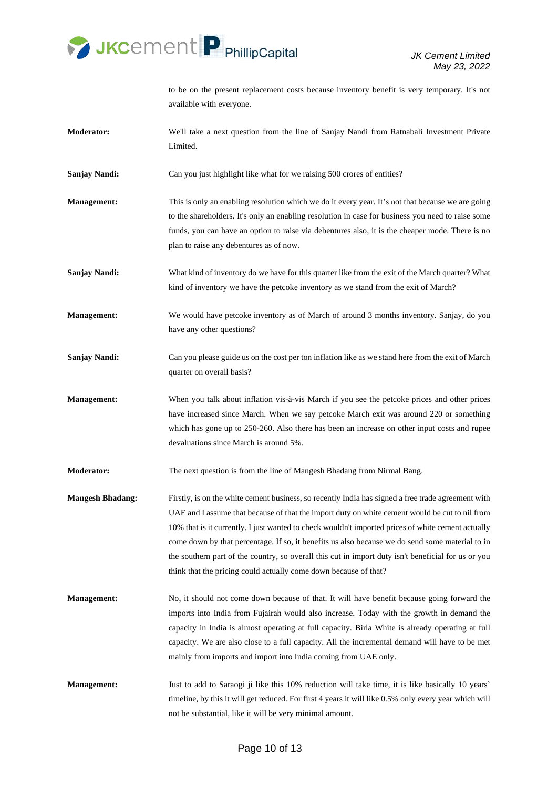

to be on the present replacement costs because inventory benefit is very temporary. It's not available with everyone.

- **Moderator:** We'll take a next question from the line of Sanjay Nandi from Ratnabali Investment Private Limited.
- Sanjay Nandi: Can you just highlight like what for we raising 500 crores of entities?
- **Management:** This is only an enabling resolution which we do it every year. It's not that because we are going to the shareholders. It's only an enabling resolution in case for business you need to raise some funds, you can have an option to raise via debentures also, it is the cheaper mode. There is no plan to raise any debentures as of now.
- **Sanjay Nandi:** What kind of inventory do we have for this quarter like from the exit of the March quarter? What kind of inventory we have the petcoke inventory as we stand from the exit of March?
- **Management:** We would have petcoke inventory as of March of around 3 months inventory. Sanjay, do you have any other questions?
- **Sanjay Nandi:** Can you please guide us on the cost per ton inflation like as we stand here from the exit of March quarter on overall basis?
- **Management:** When you talk about inflation vis-à-vis March if you see the petcoke prices and other prices have increased since March. When we say petcoke March exit was around 220 or something which has gone up to 250-260. Also there has been an increase on other input costs and rupee devaluations since March is around 5%.
- **Moderator:** The next question is from the line of Mangesh Bhadang from Nirmal Bang.
- **Mangesh Bhadang:** Firstly, is on the white cement business, so recently India has signed a free trade agreement with UAE and I assume that because of that the import duty on white cement would be cut to nil from 10% that is it currently. I just wanted to check wouldn't imported prices of white cement actually come down by that percentage. If so, it benefits us also because we do send some material to in the southern part of the country, so overall this cut in import duty isn't beneficial for us or you think that the pricing could actually come down because of that?
- **Management:** No, it should not come down because of that. It will have benefit because going forward the imports into India from Fujairah would also increase. Today with the growth in demand the capacity in India is almost operating at full capacity. Birla White is already operating at full capacity. We are also close to a full capacity. All the incremental demand will have to be met mainly from imports and import into India coming from UAE only.
- **Management:** Just to add to Saraogi ji like this 10% reduction will take time, it is like basically 10 years' timeline, by this it will get reduced. For first 4 years it will like 0.5% only every year which will not be substantial, like it will be very minimal amount.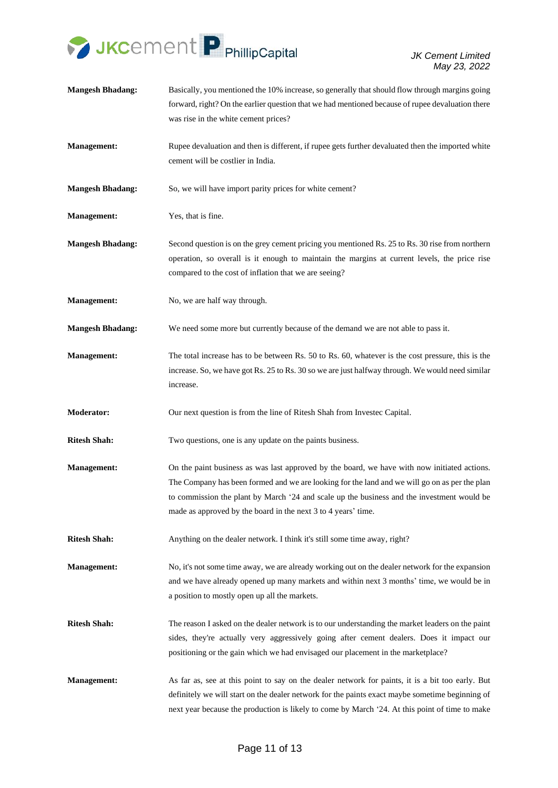

*JK Cement Limited May 23, 2022*

**Mangesh Bhadang:** Basically, you mentioned the 10% increase, so generally that should flow through margins going forward, right? On the earlier question that we had mentioned because of rupee devaluation there was rise in the white cement prices? **Management:** Rupee devaluation and then is different, if rupee gets further devaluated then the imported white cement will be costlier in India. **Mangesh Bhadang:** So, we will have import parity prices for white cement? **Management:** Yes, that is fine. **Mangesh Bhadang:** Second question is on the grey cement pricing you mentioned Rs. 25 to Rs. 30 rise from northern operation, so overall is it enough to maintain the margins at current levels, the price rise compared to the cost of inflation that we are seeing? **Management:** No, we are half way through. **Mangesh Bhadang:** We need some more but currently because of the demand we are not able to pass it. **Management:** The total increase has to be between Rs. 50 to Rs. 60, whatever is the cost pressure, this is the increase. So, we have got Rs. 25 to Rs. 30 so we are just halfway through. We would need similar increase. **Moderator:** Our next question is from the line of Ritesh Shah from Investec Capital. **Ritesh Shah:** Two questions, one is any update on the paints business. **Management:** On the paint business as was last approved by the board, we have with now initiated actions. The Company has been formed and we are looking for the land and we will go on as per the plan to commission the plant by March '24 and scale up the business and the investment would be made as approved by the board in the next 3 to 4 years' time. **Ritesh Shah:** Anything on the dealer network. I think it's still some time away, right? **Management:** No, it's not some time away, we are already working out on the dealer network for the expansion and we have already opened up many markets and within next 3 months' time, we would be in a position to mostly open up all the markets. **Ritesh Shah:** The reason I asked on the dealer network is to our understanding the market leaders on the paint sides, they're actually very aggressively going after cement dealers. Does it impact our positioning or the gain which we had envisaged our placement in the marketplace? **Management:** As far as, see at this point to say on the dealer network for paints, it is a bit too early. But definitely we will start on the dealer network for the paints exact maybe sometime beginning of next year because the production is likely to come by March '24. At this point of time to make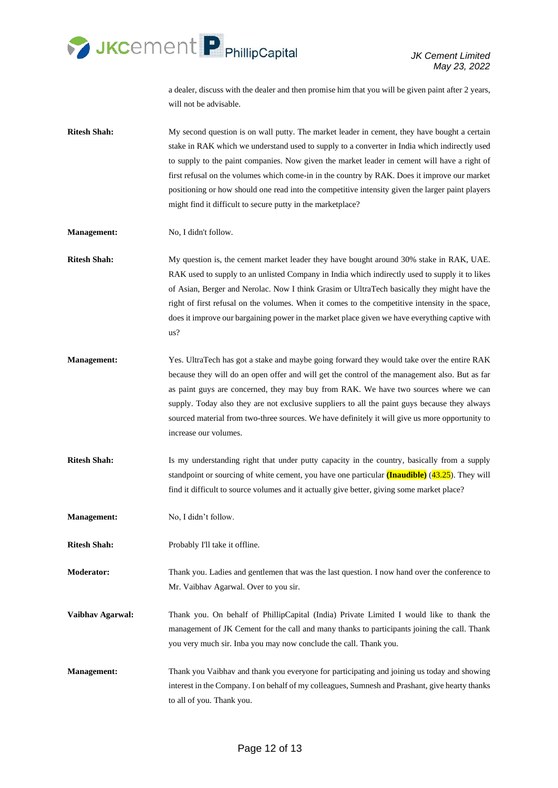

a dealer, discuss with the dealer and then promise him that you will be given paint after 2 years, will not be advisable.

- **Ritesh Shah:** My second question is on wall putty. The market leader in cement, they have bought a certain stake in RAK which we understand used to supply to a converter in India which indirectly used to supply to the paint companies. Now given the market leader in cement will have a right of first refusal on the volumes which come-in in the country by RAK. Does it improve our market positioning or how should one read into the competitive intensity given the larger paint players might find it difficult to secure putty in the marketplace?
- **Management:** No, I didn't follow.
- **Ritesh Shah:** My question is, the cement market leader they have bought around 30% stake in RAK, UAE. RAK used to supply to an unlisted Company in India which indirectly used to supply it to likes of Asian, Berger and Nerolac. Now I think Grasim or UltraTech basically they might have the right of first refusal on the volumes. When it comes to the competitive intensity in the space, does it improve our bargaining power in the market place given we have everything captive with us?
- **Management:** Yes. UltraTech has got a stake and maybe going forward they would take over the entire RAK because they will do an open offer and will get the control of the management also. But as far as paint guys are concerned, they may buy from RAK. We have two sources where we can supply. Today also they are not exclusive suppliers to all the paint guys because they always sourced material from two-three sources. We have definitely it will give us more opportunity to increase our volumes.
- **Ritesh Shah:** Is my understanding right that under putty capacity in the country, basically from a supply standpoint or sourcing of white cement, you have one particular **(Inaudible)** (43.25). They will find it difficult to source volumes and it actually give better, giving some market place?

**Management:** No, I didn't follow.

**Ritesh Shah:** Probably I'll take it offline.

**Moderator:** Thank you. Ladies and gentlemen that was the last question. I now hand over the conference to Mr. Vaibhav Agarwal. Over to you sir.

- **Vaibhav Agarwal:** Thank you. On behalf of PhillipCapital (India) Private Limited I would like to thank the management of JK Cement for the call and many thanks to participants joining the call. Thank you very much sir. Inba you may now conclude the call. Thank you.
- **Management:** Thank you Vaibhav and thank you everyone for participating and joining us today and showing interest in the Company. I on behalf of my colleagues, Sumnesh and Prashant, give hearty thanks to all of you. Thank you.